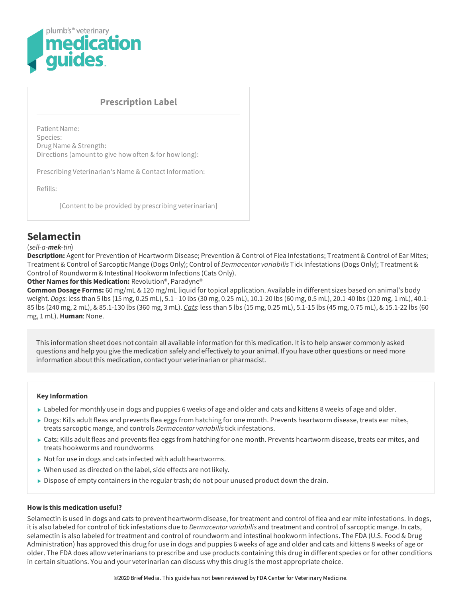

## **Prescription Label**

Patient Name: Species: Drug Name & Strength: Directions (amount to give how often & for how long):

Prescribing Veterinarian's Name & Contact Information:

Refills:

[Content to be provided by prescribing veterinarian]

# **Selamectin**

#### (*sell-a-mek-tin*)

Description: Agent for Prevention of Heartworm Disease; Prevention & Control of Flea Infestations; Treatment & Control of Ear Mites; Treatment & Control of Sarcoptic Mange (Dogs Only); Control of *Dermacentor variabilis* Tick Infestations (Dogs Only); Treatment & Control of Roundworm & Intestinal Hookworm Infections (Cats Only).

## **Other Names forthis Medication:** Revolution®, Paradyne®

**Common Dosage Forms:** 60 mg/mL & 120 mg/mL liquid for topical application. Available in different sizes based on animal's body weight. *Dogs*: less than 5 lbs (15 mg, 0.25 mL), 5.1 - 10 lbs (30 mg, 0.25 mL), 10.1-20 lbs (60 mg, 0.5 mL), 20.1-40 lbs (120 mg, 1 mL), 40.1- 85 lbs (240 mg, 2 mL), & 85.1-130 lbs (360 mg, 3 mL). *Cats*: less than 5 lbs (15 mg, 0.25 mL), 5.1-15 lbs (45 mg, 0.75 mL), & 15.1-22 lbs (60 mg, 1 mL). **Human**: None.

This information sheet does not contain all available information for this medication. Itis to help answer commonly asked questions and help you give the medication safely and effectively to your animal. If you have other questions or need more information about this medication, contact your veterinarian or pharmacist.

#### **Key Information**

- ► Labeled for monthly use in dogs and puppies 6 weeks of age and older and cats and kittens 8 weeks of age and older.
- ▶ Dogs: Kills adult fleas and prevents flea eggs from hatching for one month. Prevents heartworm disease, treats ear mites, treats sarcoptic mange, and controls *Dermacentor variabilis*tick infestations.
- ► Cats: Kills adult fleas and prevents flea eggs from hatching for one month. Prevents heartworm disease, treats ear mites, and treats hookworms and roundworms
- $\triangleright$  Not for use in dogs and cats infected with adult heartworms.
- $\triangleright$  When used as directed on the label, side effects are not likely.
- Dispose of empty containers in the regular trash; do not pour unused product down the drain.

#### **How is this medication useful?**

Selamectin is used in dogs and cats to prevent heartworm disease, for treatment and control of flea and ear mite infestations. In dogs, itis also labeled for control of tick infestations due to *Dermacentor variabilis* and treatment and control of sarcoptic mange. In cats, selamectin is also labeled for treatment and control of roundworm and intestinal hookworm infections. The FDA (U.S. Food & Drug Administration) has approved this drug for use in dogs and puppies 6 weeks of age and older and cats and kittens 8 weeks of age or older. The FDA does allow veterinarians to prescribe and use products containing this drug in different species or for other conditions in certain situations. You and your veterinarian can discuss why this drug is the most appropriate choice.

©2020 Brief Media. This guide has not been reviewed by FDA Center for Veterinary Medicine.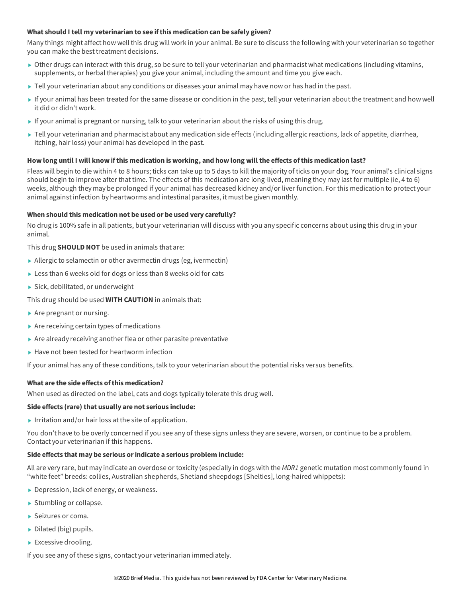#### **What should I tell my veterinarian to see ifthis medication can be safely given?**

Many things might affect how well this drug will work in your animal. Be sure to discuss the following with your veterinarian so together you can make the best treatment decisions.

- ▶ Other drugs can interact with this drug, so be sure to tell your veterinarian and pharmacist what medications (including vitamins, supplements, or herbal therapies) you give your animal, including the amount and time you give each.
- ▶ Tell your veterinarian about any conditions or diseases your animal may have now or has had in the past.
- If your animal has been treated for the same disease or condition in the past, tell your veterinarian aboutthe treatment and how well it did or didn't work.
- If your animal is pregnant or nursing, talk to your veterinarian about the risks of using this drug.
- ▶ Tell your veterinarian and pharmacist about any medication side effects (including allergic reactions, lack of appetite, diarrhea, itching, hair loss) your animal has developed in the past.

#### How long until I will know if this medication is working, and how long will the effects of this medication last?

Fleas will begin to die within 4 to 8 hours; ticks can take up to 5 days to kill the majority of ticks on your dog. Your animal's clinical signs should begin to improve after that time. The effects of this medication are long-lived, meaning they may last for multiple (ie, 4 to 6) weeks, although they may be prolonged if your animal has decreased kidney and/or liver function. For this medication to protect your animal againstinfection by heartworms and intestinal parasites, it must be given monthly.

#### **When should this medication not be used or be used very carefully?**

No drug is 100% safe in all patients, but your veterinarian will discuss with you any specific concerns about using this drug in your animal.

This drug **SHOULD NOT** be used in animals that are:

- Allergic to selamectin or other avermectin drugs (eg, ivermectin)
- Less than 6 weeks old for dogs or less than 8 weeks old for cats
- Sick, debilitated, or underweight

This drug should be used **WITH CAUTION** in animals that:

- $\blacktriangleright$  Are pregnant or nursing.
- $\blacktriangleright$  Are receiving certain types of medications
- Are already receiving another flea or other parasite preventative
- $\blacktriangleright$  Have not been tested for heartworm infection

If your animal has any of these conditions, talk to your veterinarian aboutthe potential risks versus benefits.

### **What are the side effects ofthis medication?**

When used as directed on the label, cats and dogs typically tolerate this drug well.

#### **Side effects (rare) that usually are not serious include:**

Irritation and/or hair loss at the site of application.

You don't have to be overly concerned if you see any of these signs unless they are severe, worsen, or continue to be a problem. Contact your veterinarian if this happens.

#### **Side effects that may be serious orindicate a serious problem include:**

All are very rare, but may indicate an overdose or toxicity (especially in dogs with the *MDR1* genetic mutation most commonly found in "white feet" breeds: collies, Australian shepherds, Shetland sheepdogs [Shelties], long-haired whippets):

- ▶ Depression, lack of energy, or weakness.
- $\blacktriangleright$  Stumbling or collapse.
- Seizures or coma.
- $\triangleright$  Dilated (big) pupils.
- Excessive drooling.

If you see any of these signs, contact your veterinarian immediately.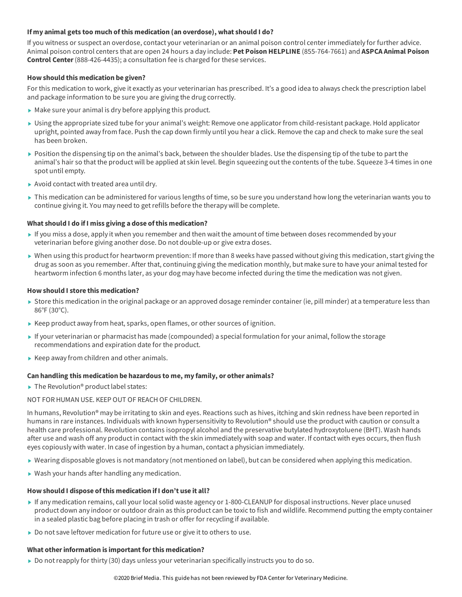#### **If my animal gets too much ofthis medication (an overdose), what should I do?**

If you witness or suspect an overdose, contact your veterinarian or an animal poison control center immediately for further advice. Animal poison control centers that are open 24 hours a day include: **Pet Poison HELPLINE** (855-764-7661) and **ASPCA Animal Poison Control Center**(888-426-4435); a consultation fee is charged for these services.

#### **How should this medication be given?**

For this medication to work, give it exactly as your veterinarian has prescribed. It's a good idea to always check the prescription label and package information to be sure you are giving the drug correctly.

- Make sure your animal is dry before applying this product.
- Using the appropriate sized tube for your animal's weight: Remove one applicator from child-resistant package. Hold applicator upright, pointed away from face. Push the cap down firmly until you hear a click. Remove the cap and check to make sure the seal has been broken.
- Position the dispensing tip on the animal's back, between the shoulder blades. Use the dispensing tip of the tube to part the animal's hair so thatthe product will be applied at skin level. Begin squeezing outthe contents of the tube. Squeeze 3-4 times in one spot until empty.
- Avoid contact with treated area until dry.
- ▶ This medication can be administered for various lengths of time, so be sure you understand how long the veterinarian wants you to continue giving it. You may need to getrefills before the therapy will be complete.

#### **What should I do ifI miss giving a dose ofthis medication?**

- If you miss a dose, apply it when you remember and then wait the amount of time between doses recommended by your veterinarian before giving another dose. Do not double-up or give extra doses.
- ▶ When using this product for heartworm prevention: If more than 8 weeks have passed without giving this medication, start giving the drug as soon as you remember. After that, continuing giving the medication monthly, but make sure to have your animal tested for heartworm infection 6 months later, as your dog may have become infected during the time the medication was not given.

#### **How should I store this medication?**

- Store this medication in the original package or an approved dosage reminder container (ie, pill minder) at a temperature less than 86°F (30°C).
- $\blacktriangleright$  Keep product away from heat, sparks, open flames, or other sources of ignition.
- If your veterinarian or pharmacist has made (compounded) a special formulation for your animal, follow the storage recommendations and expiration date for the product.
- $\blacktriangleright$  Keep away from children and other animals.

#### **Can handling this medication be hazardous to me, my family, or other animals?**

 $\blacktriangleright$  The Revolution® product label states:

NOT FOR HUMAN USE. KEEP OUT OF REACH OF CHILDREN.

In humans, Revolution<sup>®</sup> may be irritating to skin and eyes. Reactions such as hives, itching and skin redness have been reported in humans in rare instances. Individuals with known hypersensitivity to Revolution® should use the product with caution or consult a health care professional. Revolution contains isopropyl alcohol and the preservative butylated hydroxytoluene (BHT). Wash hands after use and wash off any product in contact with the skin immediately with soap and water. If contact with eyes occurs, then flush eyes copiously with water. In case of ingestion by a human, contact a physician immediately.

- Wearing disposable gloves is not mandatory (not mentioned on label), but can be considered when applying this medication.
- ▶ Wash your hands after handling any medication.

#### **How should I dispose ofthis medication ifI don't use it all?**

- If any medication remains, call your local solid waste agency or 1-800-CLEANUP for disposal instructions. Never place unused product down any indoor or outdoor drain as this product can be toxic to fish and wildlife. Recommend putting the empty container in a sealed plastic bag before placing in trash or offer for recycling if available.
- $\triangleright$  Do not save leftover medication for future use or give it to others to use.

## **What other information is important for this medication?**

 $\triangleright$  Do not reapply for thirty (30) days unless your veterinarian specifically instructs you to do so.